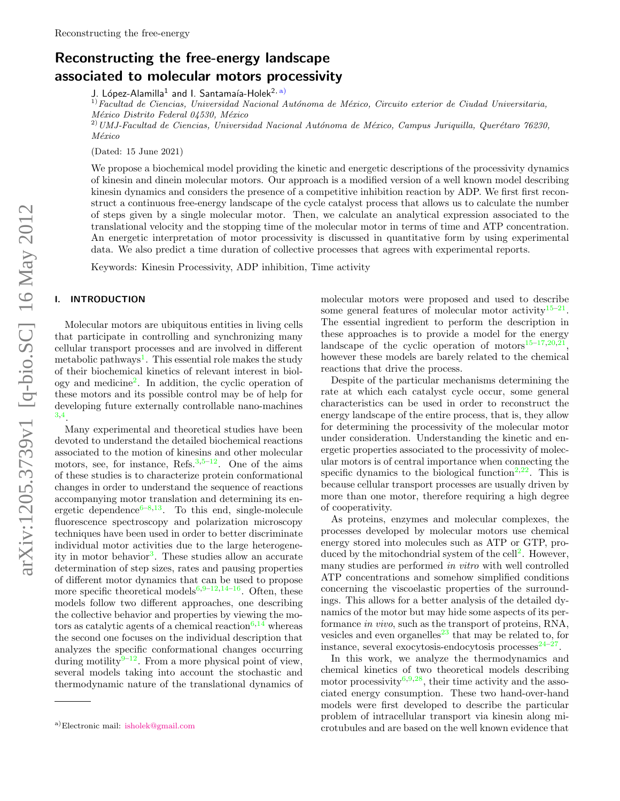# Reconstructing the free-energy landscape associated to molecular motors processivity

J. López-Alamilla $^1$  and I. Santamaía-Holek $^{2,\, \rm a)}$  $^{2,\, \rm a)}$  $^{2,\, \rm a)}$ 

 $1)$ Facultad de Ciencias, Universidad Nacional Autónoma de México, Circuito exterior de Ciudad Universitaria, México Distrito Federal 04530, México

 $^{2)}$ UMJ-Facultad de Ciencias, Universidad Nacional Autónoma de México, Campus Juriquilla, Querétaro 76230,  $M\'exico$ 

(Dated: 15 June 2021)

We propose a biochemical model providing the kinetic and energetic descriptions of the processivity dynamics of kinesin and dinein molecular motors. Our approach is a modified version of a well known model describing kinesin dynamics and considers the presence of a competitive inhibition reaction by ADP. We first first reconstruct a continuous free-energy landscape of the cycle catalyst process that allows us to calculate the number of steps given by a single molecular motor. Then, we calculate an analytical expression associated to the translational velocity and the stopping time of the molecular motor in terms of time and ATP concentration. An energetic interpretation of motor processivity is discussed in quantitative form by using experimental data. We also predict a time duration of collective processes that agrees with experimental reports.

Keywords: Kinesin Processivity, ADP inhibition, Time activity

# I. INTRODUCTION

Molecular motors are ubiquitous entities in living cells that participate in controlling and synchronizing many cellular transport processes and are involved in different metabolic pathways<sup>[1](#page-11-0)</sup>. This essential role makes the study of their biochemical kinetics of relevant interest in biology and medicine[2](#page-11-1) . In addition, the cyclic operation of these motors and its possible control may be of help for developing future externally controllable nano-machines [3](#page-11-2)[,4](#page-11-3) .

Many experimental and theoretical studies have been devoted to understand the detailed biochemical reactions associated to the motion of kinesins and other molecular motors, see, for instance, Refs.  $3.5-12$  $3.5-12$ . One of the aims of these studies is to characterize protein conformational changes in order to understand the sequence of reactions accompanying motor translation and determining its en-ergetic dependence<sup>[6–](#page-11-6)[8,](#page-11-7)[13](#page-11-8)</sup>. To this end, single-molecule fluorescence spectroscopy and polarization microscopy techniques have been used in order to better discriminate individual motor activities due to the large heterogene-ity in motor behavior<sup>[3](#page-11-2)</sup>. These studies allow an accurate determination of step sizes, rates and pausing properties of different motor dynamics that can be used to propose more specific theoretical models $6,9-12,14-16$  $6,9-12,14-16$  $6,9-12,14-16$  $6,9-12,14-16$  $6,9-12,14-16$ . Often, these models follow two different approaches, one describing the collective behavior and properties by viewing the motors as catalytic agents of a chemical reaction  $6,14$  $6,14$  whereas the second one focuses on the individual description that analyzes the specific conformational changes occurring during motility $9-12$  $9-12$ . From a more physical point of view, several models taking into account the stochastic and thermodynamic nature of the translational dynamics of molecular motors were proposed and used to describe some general features of molecular motor activity $15-21$  $15-21$ . The essential ingredient to perform the description in these approaches is to provide a model for the energy landscape of the cyclic operation of motors<sup>[15–](#page-11-12)[17](#page-11-14)[,20,](#page-11-15)[21](#page-11-13)</sup> , however these models are barely related to the chemical reactions that drive the process.

Despite of the particular mechanisms determining the rate at which each catalyst cycle occur, some general characteristics can be used in order to reconstruct the energy landscape of the entire process, that is, they allow for determining the processivity of the molecular motor under consideration. Understanding the kinetic and energetic properties associated to the processivity of molecular motors is of central importance when connecting the specific dynamics to the biological function<sup>[2](#page-11-1)[,22](#page-11-16)</sup>. This is because cellular transport processes are usually driven by more than one motor, therefore requiring a high degree of cooperativity.

As proteins, enzymes and molecular complexes, the processes developed by molecular motors use chemical energy stored into molecules such as ATP or GTP, pro-duced by the mitochondrial system of the cell<sup>[2](#page-11-1)</sup>. However, many studies are performed in vitro with well controlled ATP concentrations and somehow simplified conditions concerning the viscoelastic properties of the surroundings. This allows for a better analysis of the detailed dynamics of the motor but may hide some aspects of its performance in vivo, such as the transport of proteins, RNA, vesicles and even organelles<sup>[23](#page-11-17)</sup> that may be related to, for instance, several exocytosis-endocytosis processes $24-27$  $24-27$ .

In this work, we analyze the thermodynamics and chemical kinetics of two theoretical models describing motor processivity<sup>[6](#page-11-6)[,9](#page-11-9)[,28](#page-11-20)</sup>, their time activity and the associated energy consumption. These two hand-over-hand models were first developed to describe the particular problem of intracellular transport via kinesin along microtubules and are based on the well known evidence that

<span id="page-0-0"></span>a)Electronic mail: [isholek@gmail.com](mailto:isholek@gmail.com)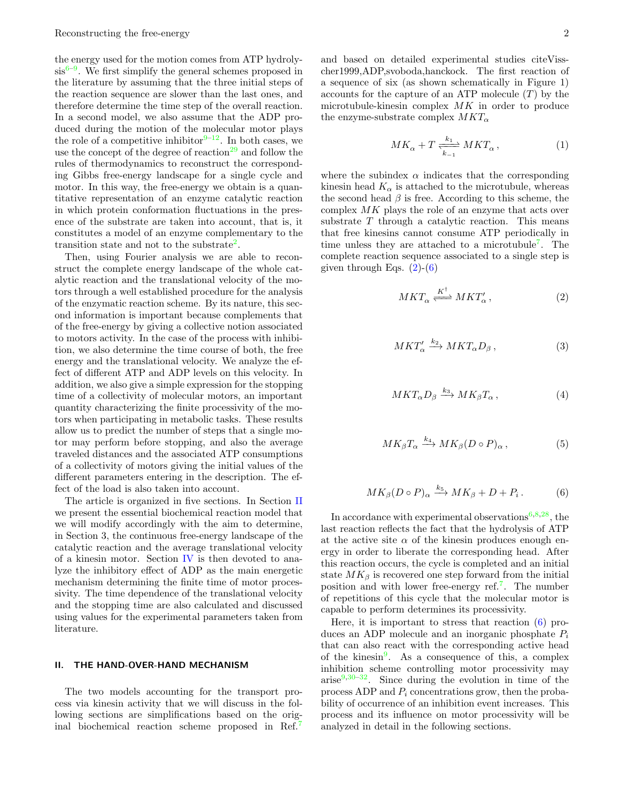the energy used for the motion comes from ATP hydroly- $\sin^{6-9}$  $\sin^{6-9}$  $\sin^{6-9}$ . We first simplify the general schemes proposed in the literature by assuming that the three initial steps of the reaction sequence are slower than the last ones, and therefore determine the time step of the overall reaction. In a second model, we also assume that the ADP produced during the motion of the molecular motor plays the role of a competitive inhibitor $9-12$  $9-12$ . In both cases, we use the concept of the degree of reaction<sup>[29](#page-11-21)</sup> and follow the rules of thermodynamics to reconstruct the corresponding Gibbs free-energy landscape for a single cycle and motor. In this way, the free-energy we obtain is a quantitative representation of an enzyme catalytic reaction in which protein conformation fluctuations in the presence of the substrate are taken into account, that is, it constitutes a model of an enzyme complementary to the transition state and not to the substrate<sup>[2](#page-11-1)</sup>.

Then, using Fourier analysis we are able to reconstruct the complete energy landscape of the whole catalytic reaction and the translational velocity of the motors through a well established procedure for the analysis of the enzymatic reaction scheme. By its nature, this second information is important because complements that of the free-energy by giving a collective notion associated to motors activity. In the case of the process with inhibition, we also determine the time course of both, the free energy and the translational velocity. We analyze the effect of different ATP and ADP levels on this velocity. In addition, we also give a simple expression for the stopping time of a collectivity of molecular motors, an important quantity characterizing the finite processivity of the motors when participating in metabolic tasks. These results allow us to predict the number of steps that a single motor may perform before stopping, and also the average traveled distances and the associated ATP consumptions of a collectivity of motors giving the initial values of the different parameters entering in the description. The effect of the load is also taken into account.

The article is organized in five sections. In Section [II](#page-1-0) we present the essential biochemical reaction model that we will modify accordingly with the aim to determine, in Section 3, the continuous free-energy landscape of the catalytic reaction and the average translational velocity of a kinesin motor. Section [IV](#page-5-0) is then devoted to analyze the inhibitory effect of ADP as the main energetic mechanism determining the finite time of motor processivity. The time dependence of the translational velocity and the stopping time are also calculated and discussed using values for the experimental parameters taken from literature.

# <span id="page-1-0"></span>II. THE HAND-OVER-HAND MECHANISM

The two models accounting for the transport process via kinesin activity that we will discuss in the following sections are simplifications based on the original biochemical reaction scheme proposed in Ref.[7](#page-11-22)

and based on detailed experimental studies citeVisscher1999,ADP,svoboda,hanckock. The first reaction of a sequence of six (as shown schematically in Figure 1) accounts for the capture of an ATP molecule  $(T)$  by the microtubule-kinesin complex  $MK$  in order to produce the enzyme-substrate complex  $MKT_{\alpha}$ 

<span id="page-1-3"></span>
$$
MK_{\alpha} + T \frac{k_1}{k_{-1}} MKT_{\alpha} , \qquad (1)
$$

where the subindex  $\alpha$  indicates that the corresponding kinesin head  $K_{\alpha}$  is attached to the microtubule, whereas the second head  $\beta$  is free. According to this scheme, the complex MK plays the role of an enzyme that acts over substrate  $T$  through a catalytic reaction. This means that free kinesins cannot consume ATP periodically in time unless they are attached to a microtubule<sup>[7](#page-11-22)</sup>. The complete reaction sequence associated to a single step is given through Eqs.  $(2)-(6)$  $(2)-(6)$  $(2)-(6)$ 

<span id="page-1-1"></span>
$$
MKT_{\alpha} \xleftarrow{K^{\dagger}} MKT'_{\alpha}, \qquad (2)
$$

<span id="page-1-6"></span>
$$
MKT'_{\alpha} \xrightarrow{k_2} MKT_{\alpha}D_{\beta}, \qquad (3)
$$

<span id="page-1-4"></span>
$$
MKT_{\alpha}D_{\beta} \xrightarrow{k_3} MK_{\beta}T_{\alpha}, \qquad (4)
$$

<span id="page-1-5"></span>
$$
MK_{\beta}T_{\alpha} \xrightarrow{k_4} MK_{\beta}(D \circ P)_{\alpha}, \qquad (5)
$$

<span id="page-1-2"></span>
$$
MK_{\beta}(D \circ P)_{\alpha} \xrightarrow{k_5} MK_{\beta} + D + P_i. \tag{6}
$$

In accordance with experimental observations  $6,8,28$  $6,8,28$  $6,8,28$ , the last reaction reflects the fact that the hydrolysis of ATP at the active site  $\alpha$  of the kinesin produces enough energy in order to liberate the corresponding head. After this reaction occurs, the cycle is completed and an initial state  $MK_{\beta}$  is recovered one step forward from the initial position and with lower free-energy ref.[7](#page-11-22) . The number of repetitions of this cycle that the molecular motor is capable to perform determines its processivity.

Here, it is important to stress that reaction  $(6)$  produces an ADP molecule and an inorganic phosphate  $P_i$ that can also react with the corresponding active head of the kinesin<sup>[9](#page-11-9)</sup>. As a consequence of this, a complex inhibition scheme controlling motor processivity may arise $9,30-32$  $9,30-32$  $9,30-32$ . Since during the evolution in time of the process ADP and  $P_i$  concentrations grow, then the probability of occurrence of an inhibition event increases. This process and its influence on motor processivity will be analyzed in detail in the following sections.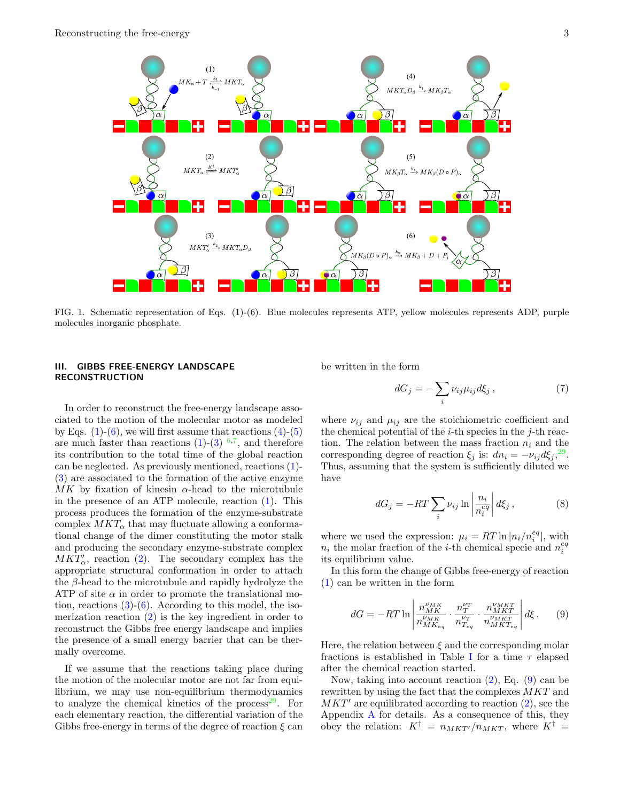

FIG. 1. Schematic representation of Eqs. (1)-(6). Blue molecules represents ATP, yellow molecules represents ADP, purple molecules inorganic phosphate.

## III. GIBBS FREE-ENERGY LANDSCAPE **RECONSTRUCTION**

In order to reconstruct the free-energy landscape associated to the motion of the molecular motor as modeled by Eqs.  $(1)-(6)$  $(1)-(6)$  $(1)-(6)$ , we will first assume that reactions  $(4)-(5)$  $(4)-(5)$  $(4)-(5)$ are much faster than reactions  $(1)-(3)^{-6,7}$  $(1)-(3)^{-6,7}$  $(1)-(3)^{-6,7}$  $(1)-(3)^{-6,7}$  $(1)-(3)^{-6,7}$  $(1)-(3)^{-6,7}$  $(1)-(3)^{-6,7}$ , and therefore its contribution to the total time of the global reaction can be neglected. As previously mentioned, reactions [\(1\)](#page-1-3)- [\(3\)](#page-1-6) are associated to the formation of the active enzyme  $MK$  by fixation of kinesin  $\alpha$ -head to the microtubule in the presence of an ATP molecule, reaction [\(1\)](#page-1-3). This process produces the formation of the enzyme-substrate complex  $MKT_{\alpha}$  that may fluctuate allowing a conformational change of the dimer constituting the motor stalk and producing the secondary enzyme-substrate complex  $MKT'_{\alpha}$ , reaction [\(2\)](#page-1-1). The secondary complex has the appropriate structural conformation in order to attach the β-head to the microtubule and rapidly hydrolyze the ATP of site  $\alpha$  in order to promote the translational motion, reactions  $(3)-(6)$  $(3)-(6)$  $(3)-(6)$ . According to this model, the isomerization reaction  $(2)$  is the key ingredient in order to reconstruct the Gibbs free energy landscape and implies the presence of a small energy barrier that can be thermally overcome.

If we assume that the reactions taking place during the motion of the molecular motor are not far from equilibrium, we may use non-equilibrium thermodynamics to analyze the chemical kinetics of the process<sup>[29](#page-11-21)</sup>. For each elementary reaction, the differential variation of the Gibbs free-energy in terms of the degree of reaction  $\xi$  can be written in the form

$$
dG_j = -\sum_i \nu_{ij} \mu_{ij} d\xi_j , \qquad (7)
$$

where  $\nu_{ij}$  and  $\mu_{ij}$  are the stoichiometric coefficient and the chemical potential of the  $i$ -th species in the  $j$ -th reaction. The relation between the mass fraction  $n_i$  and the corresponding degree of reaction  $\xi_j$  is:  $dn_i = -\nu_{ij} d\xi_j$ ,  $^{29}$  $^{29}$  $^{29}$ . Thus, assuming that the system is sufficiently diluted we have

$$
dG_j = -RT \sum_i \nu_{ij} \ln \left| \frac{n_i}{n_i^{eq}} \right| d\xi_j , \qquad (8)
$$

where we used the expression:  $\mu_i = RT \ln |n_i/n_i^{eq}|$ , with  $n_i$  the molar fraction of the *i*-th chemical specie and  $n_i^{eq}$ its equilibrium value.

In this form the change of Gibbs free-energy of reaction [\(1\)](#page-1-3) can be written in the form

<span id="page-2-0"></span>
$$
dG = -RT \ln \left| \frac{n_{MK}^{\nu_{MK}}}{n_{MK_{eq}}^{\nu_{MK}}} \cdot \frac{n_T^{\nu_T}}{n_{T_{eq}}^{\nu_T}} \cdot \frac{n_{MKT}^{\nu_{MKT}}}{n_{MKT_{eq}}^{\nu_{MKT}}} \right| d\xi. \tag{9}
$$

Here, the relation between  $\xi$  and the corresponding molar fractions is established in Table [I](#page-3-0) for a time  $\tau$  elapsed after the chemical reaction started.

Now, taking into account reaction [\(2\)](#page-1-1), Eq. [\(9\)](#page-2-0) can be rewritten by using the fact that the complexes MKT and  $MKT'$  are equilibrated according to reaction  $(2)$ , see the Appendix [A](#page-9-0) for details. As a consequence of this, they obey the relation:  $K^{\dagger} = n_{MKT'}/n_{MKT}$ , where  $K^{\dagger} =$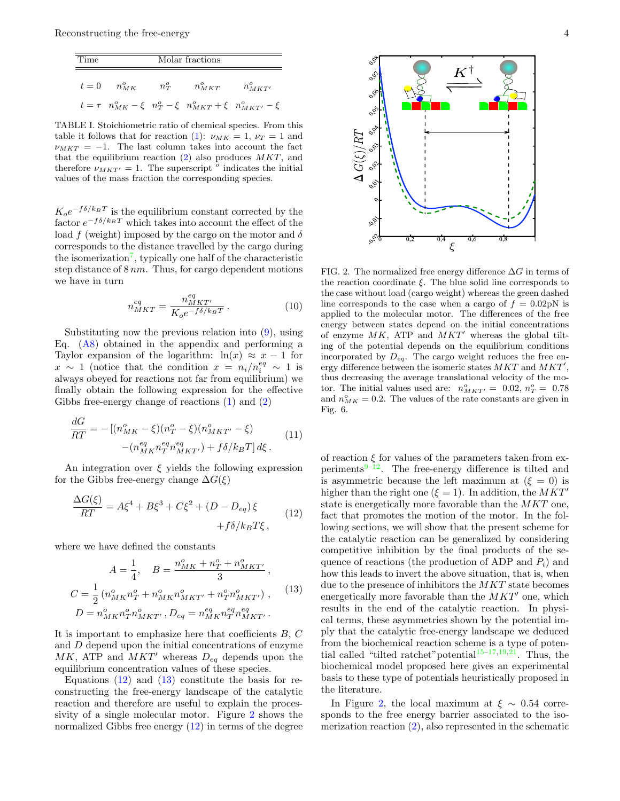Reconstructing the free-energy 4

| Time | Molar fractions |  |                                                     |                                                                                |
|------|-----------------|--|-----------------------------------------------------|--------------------------------------------------------------------------------|
|      |                 |  | $t = 0$ $n_{MK}^o$ $n_T^o$ $n_{MKT}^o$ $n_{MKT'}^o$ |                                                                                |
|      |                 |  |                                                     | $t = \tau$ $n_{MK}^o - \xi$ $n_T^o - \xi$ $n_{MKT}^o + \xi$ $n_{MKT'}^o - \xi$ |

<span id="page-3-0"></span>TABLE I. Stoichiometric ratio of chemical species. From this table it follows that for reaction [\(1\)](#page-1-3):  $\nu_{MK} = 1, \nu_T = 1$  and  $\nu_{MKT} = -1$ . The last column takes into account the fact that the equilibrium reaction  $(2)$  also produces  $MKT$ , and therefore  $\nu_{MKT'} = 1$ . The superscript <sup>o</sup> indicates the initial values of the mass fraction the corresponding species.

 $K_o e^{-f\delta/k_B T}$  is the equilibrium constant corrected by the factor  $e^{-f\delta/k_BT}$  which takes into account the effect of the load f (weight) imposed by the cargo on the motor and  $\delta$ corresponds to the distance travelled by the cargo during the isomerization<sup>[7](#page-11-22)</sup>, typically one half of the characteristic step distance of 8 nm. Thus, for cargo dependent motions we have in turn

$$
n_{MKT}^{eq} = \frac{n_{MKT'}^{eq}}{K_o e^{-f\delta/k_BT}}.
$$
 (10)

Substituting now the previous relation into [\(9\)](#page-2-0), using Eq. [\(A8\)](#page-10-0) obtained in the appendix and performing a Taylor expansion of the logarithm:  $ln(x) \approx x - 1$  for  $x \sim 1$  (notice that the condition  $x = n_i/n_i^{eq} \sim 1$  is always obeyed for reactions not far from equilibrium) we finally obtain the following expression for the effective Gibbs free-energy change of reactions [\(1\)](#page-1-3) and [\(2\)](#page-1-1)

<span id="page-3-4"></span>
$$
\frac{dG}{RT} = -\left[ (n_{MK}^o - \xi)(n_T^o - \xi)(n_{MKT'}^o - \xi) - (n_{MK}^eq n_{MKT'}^{eq}) + f\delta/k_BT \right] d\xi.
$$
\n(11)

An integration over  $\xi$  yields the following expression for the Gibbs free-energy change  $\Delta G(\xi)$ 

<span id="page-3-1"></span>
$$
\frac{\Delta G(\xi)}{RT} = A\xi^4 + B\xi^3 + C\xi^2 + (D - D_{eq})\xi
$$
  
 
$$
+ f\delta/k_B T\xi, \qquad (12)
$$

where we have defined the constants

<span id="page-3-2"></span>
$$
A = \frac{1}{4}, \quad B = \frac{n_{MK}^o + n_T^o + n_{MKT}^o}{3},
$$
  
\n
$$
C = \frac{1}{2} \left( n_{MK}^o n_T^o + n_{MK}^o n_{MKT'}^o + n_T^o n_{MKT'}^o \right),
$$
  
\n
$$
D = n_{MK}^o n_T^o n_{MKT'}^o, D_{eq} = n_{MK}^{eq} n_T^{eq} n_{MKT'}^o.
$$
  
\n(13)

It is important to emphasize here that coefficients B, C and D depend upon the initial concentrations of enzyme MK, ATP and MKT' whereas  $D_{eq}$  depends upon the equilibrium concentration values of these species.

Equations  $(12)$  and  $(13)$  constitute the basis for reconstructing the free-energy landscape of the catalytic reaction and therefore are useful to explain the processivity of a single molecular motor. Figure [2](#page-3-3) shows the normalized Gibbs free energy  $(12)$  in terms of the degree



<span id="page-3-3"></span>FIG. 2. The normalized free energy difference  $\Delta G$  in terms of the reaction coordinate  $\xi$ . The blue solid line corresponds to the case without load (cargo weight) whereas the green dashed line corresponds to the case when a cargo of  $f = 0.02 \text{pN}$  is applied to the molecular motor. The differences of the free energy between states depend on the initial concentrations of enzyme  $MK$ , ATP and  $MKT'$  whereas the global tilting of the potential depends on the equilibrium conditions incorporated by  $D_{eq}$ . The cargo weight reduces the free energy difference between the isomeric states  $MKT$  and  $MKT'$ , thus decreasing the average translational velocity of the motor. The initial values used are:  $n_{MKT}^o = 0.02, n_T^o = 0.78$ and  $n_{MK}^{\circ} = 0.2$ . The values of the rate constants are given in Fig. 6.

of reaction  $\xi$  for values of the parameters taken from experiments $9^{-12}$  $9^{-12}$  $9^{-12}$ . The free-energy difference is tilted and is asymmetric because the left maximum at  $(\xi = 0)$  is higher than the right one ( $\xi = 1$ ). In addition, the MKT' state is energetically more favorable than the MKT one, fact that promotes the motion of the motor. In the following sections, we will show that the present scheme for the catalytic reaction can be generalized by considering competitive inhibition by the final products of the sequence of reactions (the production of ADP and  $P_i$ ) and how this leads to invert the above situation, that is, when due to the presence of inhibitors the MKT state becomes energetically more favorable than the  $MKT'$  one, which results in the end of the catalytic reaction. In physical terms, these asymmetries shown by the potential imply that the catalytic free-energy landscape we deduced from the biochemical reaction scheme is a type of poten-tial called "tilted ratchet" potential<sup>[15](#page-11-12)[–17](#page-11-14)[,19](#page-11-25)[,21](#page-11-13)</sup>. Thus, the biochemical model proposed here gives an experimental basis to these type of potentials heuristically proposed in the literature.

In Figure [2,](#page-3-3) the local maximum at  $\xi \sim 0.54$  corresponds to the free energy barrier associated to the isomerization reaction  $(2)$ , also represented in the schematic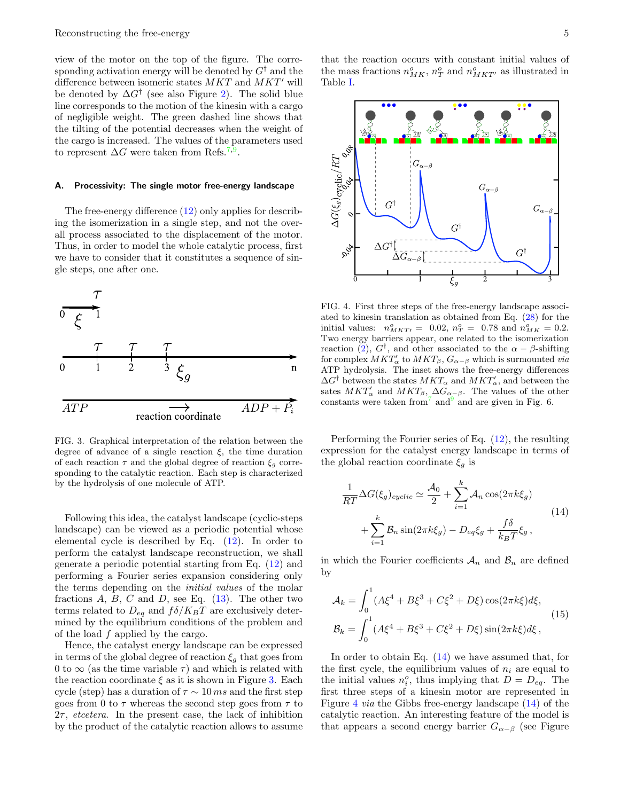view of the motor on the top of the figure. The corresponding activation energy will be denoted by  $G^{\dagger}$  and the difference between isomeric states  $MKT$  and  $MKT'$  will be denoted by  $\Delta G^{\dagger}$  (see also Figure [2\)](#page-3-3). The solid blue line corresponds to the motion of the kinesin with a cargo of negligible weight. The green dashed line shows that the tilting of the potential decreases when the weight of the cargo is increased. The values of the parameters used to represent  $\Delta G$  were taken from Refs.<sup>[7,](#page-11-22)[9](#page-11-9)</sup>.

#### A. Processivity: The single motor free-energy landscape

The free-energy difference [\(12\)](#page-3-1) only applies for describing the isomerization in a single step, and not the overall process associated to the displacement of the motor. Thus, in order to model the whole catalytic process, first we have to consider that it constitutes a sequence of single steps, one after one.



<span id="page-4-0"></span>FIG. 3. Graphical interpretation of the relation between the degree of advance of a single reaction  $\xi$ , the time duration of each reaction  $\tau$  and the global degree of reaction  $\xi_q$  corresponding to the catalytic reaction. Each step is characterized by the hydrolysis of one molecule of ATP.

Following this idea, the catalyst landscape (cyclic-steps landscape) can be viewed as a periodic potential whose elemental cycle is described by Eq. [\(12\)](#page-3-1). In order to perform the catalyst landscape reconstruction, we shall generate a periodic potential starting from Eq. [\(12\)](#page-3-1) and performing a Fourier series expansion considering only the terms depending on the initial values of the molar fractions  $A, B, C$  and  $D$ , see Eq.  $(13)$ . The other two terms related to  $D_{eq}$  and  $f\delta/K_BT$  are exclusively determined by the equilibrium conditions of the problem and of the load  $f$  applied by the cargo.

Hence, the catalyst energy landscape can be expressed in terms of the global degree of reaction  $\xi_q$  that goes from 0 to  $\infty$  (as the time variable  $\tau$ ) and which is related with the reaction coordinate  $\xi$  as it is shown in Figure [3.](#page-4-0) Each cycle (step) has a duration of  $\tau \sim 10 \, ms$  and the first step goes from 0 to  $\tau$  whereas the second step goes from  $\tau$  to  $2\tau$ , *etcetera*. In the present case, the lack of inhibition by the product of the catalytic reaction allows to assume

that the reaction occurs with constant initial values of the mass fractions  $n_{MK}^o$ ,  $n_T^o$  and  $n_{MKT}^o$  as illustrated in Table [I.](#page-3-0)



<span id="page-4-2"></span>FIG. 4. First three steps of the free-energy landscape associated to kinesin translation as obtained from Eq. [\(28\)](#page-7-0) for the initial values:  $n_{MKT}^o = 0.02, n_T^o = 0.78$  and  $n_{MK}^o = 0.2$ . Two energy barriers appear, one related to the isomerization reaction [\(2\)](#page-1-1),  $G^{\dagger}$ , and other associated to the  $\alpha - \beta$ -shifting for complex  $MKT'_{\alpha}$  to  $MKT_{\beta}$ ,  $G_{\alpha-\beta}$  which is surmounted via ATP hydrolysis. The inset shows the free-energy differences  $\Delta G^{\dagger}$  between the states  $MKT_{\alpha}$  and  $MKT'_{\alpha}$ , and between the sates  $MKT'_{\alpha}$  and  $MKT_{\beta}$ ,  $\Delta G_{\alpha-\beta}$ . The values of the other constants were taken from<sup>[7](#page-11-22)</sup> and<sup>[9](#page-11-9)</sup> and are given in Fig. 6.

Performing the Fourier series of Eq. [\(12\)](#page-3-1), the resulting expression for the catalyst energy landscape in terms of the global reaction coordinate  $\xi_q$  is

<span id="page-4-1"></span>
$$
\frac{1}{RT}\Delta G(\xi_g)_{cyclic} \simeq \frac{\mathcal{A}_0}{2} + \sum_{i=1}^k \mathcal{A}_n \cos(2\pi k \xi_g)
$$
  
+ 
$$
\sum_{i=1}^k \mathcal{B}_n \sin(2\pi k \xi_g) - D_{eq} \xi_g + \frac{f \delta}{k_B T} \xi_g,
$$
 (14)

in which the Fourier coefficients  $A_n$  and  $B_n$  are defined by

$$
\mathcal{A}_k = \int_0^1 (A\xi^4 + B\xi^3 + C\xi^2 + D\xi) \cos(2\pi k\xi) d\xi,
$$
  
\n
$$
\mathcal{B}_k = \int_0^1 (A\xi^4 + B\xi^3 + C\xi^2 + D\xi) \sin(2\pi k\xi) d\xi,
$$
\n(15)

In order to obtain Eq. [\(14\)](#page-4-1) we have assumed that, for the first cycle, the equilibrium values of  $n_i$  are equal to the initial values  $n_i^o$ , thus implying that  $D = D_{eq}$ . The first three steps of a kinesin motor are represented in Figure [4](#page-4-2) via the Gibbs free-energy landscape [\(14\)](#page-4-1) of the catalytic reaction. An interesting feature of the model is that appears a second energy barrier  $G_{\alpha-\beta}$  (see Figure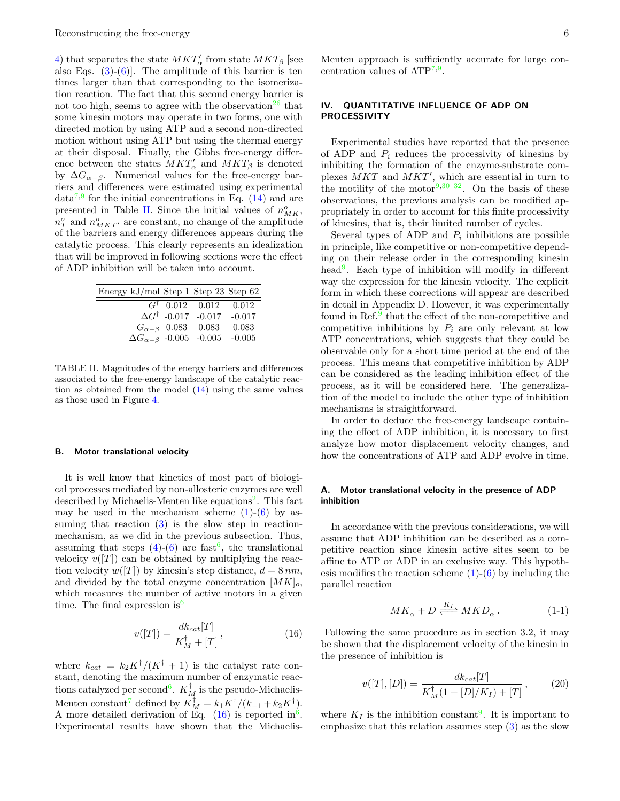[4\)](#page-4-2) that separates the state  $MKT_{\alpha}^{\prime}$  from state  $MKT_{\beta}$  [see also Eqs.  $(3)-(6)$  $(3)-(6)$  $(3)-(6)$ . The amplitude of this barrier is ten times larger than that corresponding to the isomerization reaction. The fact that this second energy barrier is not too high, seems to agree with the observation<sup>[26](#page-11-26)</sup> that some kinesin motors may operate in two forms, one with directed motion by using ATP and a second non-directed motion without using ATP but using the thermal energy at their disposal. Finally, the Gibbs free-energy difference between the states  $MKT'_{\alpha}$  and  $MKT_{\beta}$  is denoted by  $\Delta G_{\alpha-\beta}$ . Numerical values for the free-energy barriers and differences were estimated using experimental  $data^{7,9}$  $data^{7,9}$  $data^{7,9}$  $data^{7,9}$  for the initial concentrations in Eq. [\(14\)](#page-4-1) and are presented in Table [II.](#page-5-1) Since the initial values of  $n_{MK}^o$ ,  $n_T^o$  and  $n_{MKT'}^o$  are constant, no change of the amplitude of the barriers and energy differences appears during the catalytic process. This clearly represents an idealization that will be improved in following sections were the effect of ADP inhibition will be taken into account.

| Energy $kJ/mol$ Step 1 Step 23 Step 62 |                                                |       |
|----------------------------------------|------------------------------------------------|-------|
|                                        | $\overline{G^{\dagger}}$ 0.012 0.012 0.012     |       |
|                                        | $\Delta G^{\dagger}$ -0.017 -0.017 -0.017      |       |
|                                        | $G_{\alpha-\beta}$ 0.083 0.083                 | 0.083 |
|                                        | $\Delta G_{\alpha-\beta}$ -0.005 -0.005 -0.005 |       |

<span id="page-5-1"></span>TABLE II. Magnitudes of the energy barriers and differences associated to the free-energy landscape of the catalytic reaction as obtained from the model  $(14)$  using the same values as those used in Figure [4.](#page-4-2)

#### B. Motor translational velocity

It is well know that kinetics of most part of biological processes mediated by non-allosteric enzymes are well described by Michaelis-Menten like equations<sup>[2](#page-11-1)</sup>. This fact may be used in the mechanism scheme  $(1)-(6)$  $(1)-(6)$  $(1)-(6)$  by assuming that reaction  $(3)$  is the slow step in reactionmechanism, as we did in the previous subsection. Thus, assuming that steps  $(4)-(6)$  $(4)-(6)$  $(4)-(6)$  are fast<sup>[6](#page-11-6)</sup>, the translational velocity  $v([T])$  can be obtained by multiplying the reaction velocity  $w([T])$  by kinesin's step distance,  $d = 8 \, nm$ , and divided by the total enzyme concentration  $[MK]_o$ , which measures the number of active motors in a given time. The final expression is  $6$ 

<span id="page-5-2"></span>
$$
v([T]) = \frac{dk_{cat}[T]}{K_M^{\dagger} + [T]},
$$
\n(16)

where  $k_{cat} = k_2 K^{\dagger}/(K^{\dagger} + 1)$  is the catalyst rate constant, denoting the maximum number of enzymatic reac-tions catalyzed per second<sup>[6](#page-11-6)</sup>.  $K_M^{\dagger}$  is the pseudo-Michaelis-Menten constant<sup>[7](#page-11-22)</sup> defined by  $K_M^{\dagger} = k_1 K^{\dagger} / (k_{-1} + k_2 K^{\dagger})$ . A more detailed derivation of Eq.  $(16)$  is reported in<sup>[6](#page-11-6)</sup>. Experimental results have shown that the MichaelisMenten approach is sufficiently accurate for large concentration values of  $ATP^{7,9}$  $ATP^{7,9}$  $ATP^{7,9}$  $ATP^{7,9}$ .

# <span id="page-5-0"></span>IV. QUANTITATIVE INFLUENCE OF ADP ON **PROCESSIVITY**

Experimental studies have reported that the presence of ADP and  $P_i$  reduces the processivity of kinesins by inhibiting the formation of the enzyme-substrate complexes  $\overline{MKT}$  and  $\overline{MKT}$ , which are essential in turn to the motility of the motor<sup>[9](#page-11-9)[,30](#page-11-23)[–32](#page-11-24)</sup>. On the basis of these observations, the previous analysis can be modified appropriately in order to account for this finite processivity of kinesins, that is, their limited number of cycles.

Several types of ADP and  $P_i$  inhibitions are possible in principle, like competitive or non-competitive depending on their release order in the corresponding kinesin head<sup>[9](#page-11-9)</sup>. Each type of inhibition will modify in different way the expression for the kinesin velocity. The explicit form in which these corrections will appear are described in detail in Appendix D. However, it was experimentally found in Ref.<sup>[9](#page-11-9)</sup> that the effect of the non-competitive and competitive inhibitions by  $P_i$  are only relevant at low ATP concentrations, which suggests that they could be observable only for a short time period at the end of the process. This means that competitive inhibition by ADP can be considered as the leading inhibition effect of the process, as it will be considered here. The generalization of the model to include the other type of inhibition mechanisms is straightforward.

In order to deduce the free-energy landscape containing the effect of ADP inhibition, it is necessary to first analyze how motor displacement velocity changes, and how the concentrations of ATP and ADP evolve in time.

#### A. Motor translational velocity in the presence of ADP inhibition

In accordance with the previous considerations, we will assume that ADP inhibition can be described as a competitive reaction since kinesin active sites seem to be affine to ATP or ADP in an exclusive way. This hypothesis modifies the reaction scheme  $(1)-(6)$  $(1)-(6)$  $(1)-(6)$  by including the parallel reaction

$$
MK_{\alpha} + D \xleftarrow{K_{I_{\Delta}}} MKD_{\alpha} \,. \tag{1-1}
$$

Following the same procedure as in section 3.2, it may be shown that the displacement velocity of the kinesin in the presence of inhibition is

<span id="page-5-3"></span>
$$
v([T],[D]) = \frac{dk_{cat}[T]}{K_M^{\dagger}(1+[D]/K_I) + [T]},
$$
 (20)

where  $K_I$  is the inhibition constant<sup>[9](#page-11-9)</sup>. It is important to emphasize that this relation assumes step [\(3\)](#page-1-6) as the slow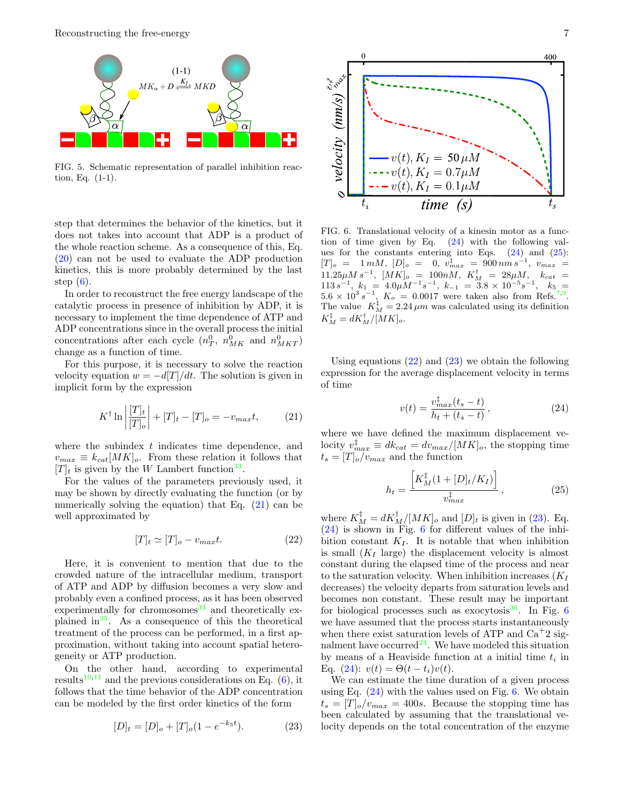

FIG. 5. Schematic representation of parallel inhibition reaction, Eq. (1-1).

step that determines the behavior of the kinetics, but it does not takes into account that ADP is a product of the whole reaction scheme. As a consequence of this, Eq. [\(20\)](#page-5-3) can not be used to evaluate the ADP production kinetics, this is more probably determined by the last step  $(6)$ .

In order to reconstruct the free energy landscape of the catalytic process in presence of inhibition by ADP, it is necessary to implement the time dependence of ATP and ADP concentrations since in the overall process the initial concentrations after each cycle  $(n_T^0, n_{MK}^0$  and  $n_{MKT}^0$ ) change as a function of time.

For this purpose, it is necessary to solve the reaction velocity equation  $w = -d[T]/dt$ . The solution is given in implicit form by the expression

<span id="page-6-0"></span>
$$
K^{\dagger} \ln \left| \frac{[T]_t}{[T]_o} \right| + [T]_t - [T]_o = -v_{max}t,\tag{21}
$$

where the subindex  $t$  indicates time dependence, and  $v_{max} \equiv k_{cat}[MK]_o$ . From these relation it follows that  $[T]_t$  is given by the W Lambert function<sup>[33](#page-11-27)</sup>.

For the values of the parameters previously used, it may be shown by directly evaluating the function (or by numerically solving the equation) that Eq.  $(21)$  can be well approximated by

<span id="page-6-3"></span>
$$
[T]_t \simeq [T]_o - v_{max}t. \tag{22}
$$

Here, it is convenient to mention that due to the crowded nature of the intracellular medium, transport of ATP and ADP by diffusion becomes a very slow and probably even a confined process, as it has been observed experimentally for chromosomes $34$  and theoretically explained in  $35^{\circ}$  $35^{\circ}$ . As a consequence of this the theoretical treatment of the process can be performed, in a first approximation, without taking into account spatial heterogeneity or ATP production.

On the other hand, according to experimental results<sup>[10,](#page-11-30)[11](#page-11-31)</sup> and the previous considerations on Eq.  $(6)$ , it follows that the time behavior of the ADP concentration can be modeled by the first order kinetics of the form

<span id="page-6-4"></span>
$$
[D]_t = [D]_o + [T]_o(1 - e^{-k_5 t}).
$$
\n(23)



<span id="page-6-5"></span>FIG. 6. Translational velocity of a kinesin motor as a function of time given by Eq. [\(24\)](#page-6-1) with the following values for the constants entering into Eqs.  $(24)$  and  $(25)$ :  $[T]_o = 1 mM, [D]_o = 0, \vec{v}^{\ddagger}_{max} = 900 nm s^{-1}, \vec{v}_{max} =$  $11.25 \mu M s^{-1}$ ,  $[MK]_o$  = 100nM,  $K_M^{\dagger}$  = 28μM,  $k_{cat}$  =  $113 s^{-1}$ ,  $k_1 = 4.0 \mu M^{-1} s^{-1}$ ,  $k_{-1} = 3.8 \times 10^{-5} s^{-1}$ ,  $k_5 =$  $5.6 \times 10^3 s^{-1}$ ,  $K_o = 0.0017$  $K_o = 0.0017$  were taken also from Refs.<sup>7[,9](#page-11-9)</sup>. The value  $K_M^{\dagger} = 2.24 \,\mu m$  was calculated using its definition  $K_M^{\ddagger} = dK_M^{\dagger}/[MK]_o.$ 

Using equations  $(22)$  and  $(23)$  we obtain the following expression for the average displacement velocity in terms of time

<span id="page-6-1"></span>
$$
v(t) = \frac{v_{max}^{\ddagger}(t_s - t)}{h_t + (t_s - t)},
$$
\n(24)

where we have defined the maximum displacement velocity  $v_{max}^{\ddagger} \equiv dk_{cat} = dv_{max}/[MK]_o$ , the stopping time  $t_s = [T]_o/v_{max}$  and the function

<span id="page-6-2"></span>
$$
h_t = \frac{\left[K_M^{\ddagger}(1 + [D]_t/K_I)\right]}{v_{max}^{\ddagger}}\,,\tag{25}
$$

where  $K_M^{\dagger} = dK_M^{\dagger}/[MK]_o$  and  $[D]_t$  is given in [\(23\)](#page-6-4). Eq.  $(24)$  is shown in Fig. [6](#page-6-5) for different values of the inhibition constant  $K_I$ . It is notable that when inhibition is small  $(K_I \text{ large})$  the displacement velocity is almost constant during the elapsed time of the process and near to the saturation velocity. When inhibition increases  $(K_I)$ decreases) the velocity departs from saturation levels and becomes non constant. These result may be important for biological processes such as exocytosis<sup>[36](#page-11-32)</sup>. In Fig.  $6$ we have assumed that the process starts instantaneously when there exist saturation levels of ATP and  $Ca<sup>+</sup>2$  sig-nalment have occurred<sup>[24](#page-11-18)</sup>. We have modeled this situation by means of a Heaviside function at a initial time  $t_i$  in Eq. [\(24\)](#page-6-1):  $v(t) = \Theta(t - t_i)v(t)$ .

We can estimate the time duration of a given process using Eq.  $(24)$  with the values used on Fig. [6.](#page-6-5) We obtain  $t_s = [T]_o/v_{max} = 400s$ . Because the stopping time has been calculated by assuming that the translational velocity depends on the total concentration of the enzyme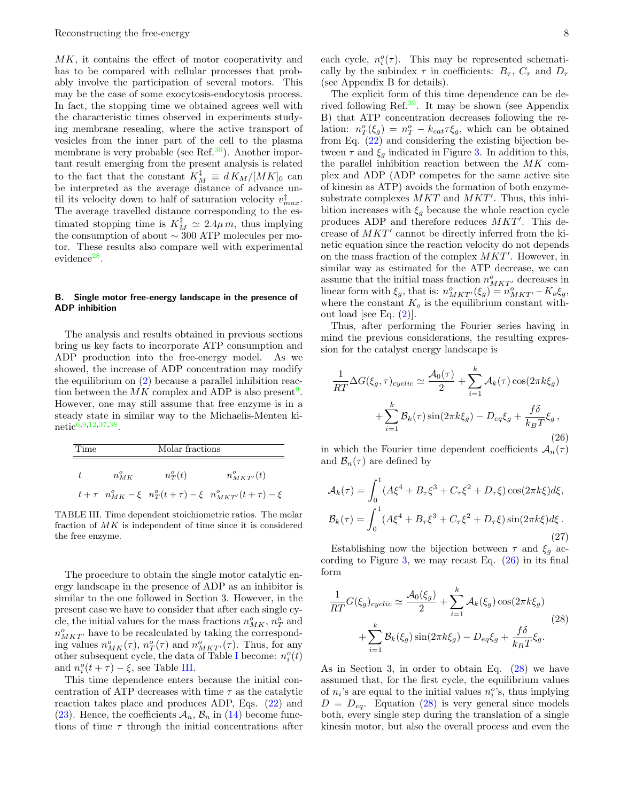MK, it contains the effect of motor cooperativity and has to be compared with cellular processes that probably involve the participation of several motors. This may be the case of some exocytosis-endocytosis process. In fact, the stopping time we obtained agrees well with the characteristic times observed in experiments studying membrane resealing, where the active transport of vesicles from the inner part of the cell to the plasma membrane is very probable (see Ref.<sup>[36](#page-11-32)</sup>). Another important result emerging from the present analysis is related to the fact that the constant  $K_M^{\ddagger} \equiv d \, K_M / [M K]_0$  can be interpreted as the average distance of advance until its velocity down to half of saturation velocity  $v_{max}^{\ddagger}$ . The average travelled distance corresponding to the estimated stopping time is  $K_M^{\ddagger} \simeq 2.4 \mu \, m$ , thus implying the consumption of about ∼ 300 ATP molecules per motor. These results also compare well with experimental  $e$ videnc $e^{28}$  $e^{28}$  $e^{28}$ .

## B. Single motor free-energy landscape in the presence of ADP inhibition

The analysis and results obtained in previous sections bring us key facts to incorporate ATP consumption and ADP production into the free-energy model. As we showed, the increase of ADP concentration may modify the equilibrium on [\(2\)](#page-1-1) because a parallel inhibition reaction between the  $MK$  complex and ADP is also present<sup>[9](#page-11-9)</sup>. However, one may still assume that free enzyme is in a steady state in similar way to the Michaelis-Menten ki- $netic^{6,9,12,37,38}.$  $netic^{6,9,12,37,38}.$  $netic^{6,9,12,37,38}.$  $netic^{6,9,12,37,38}.$  $netic^{6,9,12,37,38}.$  $netic^{6,9,12,37,38}.$  $netic^{6,9,12,37,38}.$ 

| Time | Molar fractions |            |                                                                                  |  |  |
|------|-----------------|------------|----------------------------------------------------------------------------------|--|--|
|      | $n_{MK}^o$      | $n_T^o(t)$ | $n^o_{MKT'}(t)$                                                                  |  |  |
|      |                 |            | $t + \tau$ $n_{MK}^o - \xi$ $n_T^o(t + \tau) - \xi$ $n_{MKT'}^o(t + \tau) - \xi$ |  |  |

<span id="page-7-1"></span>TABLE III. Time dependent stoichiometric ratios. The molar fraction of  $MK$  is independent of time since it is considered the free enzyme.

The procedure to obtain the single motor catalytic energy landscape in the presence of ADP as an inhibitor is similar to the one followed in Section 3. However, in the present case we have to consider that after each single cycle, the initial values for the mass fractions  $n_{MK}^o,$   $n_T^o$  and  $n_{MKT}^o$  have to be recalculated by taking the corresponding values  $n_{MK}^o(\tau)$ ,  $n_T^o(\tau)$  and  $n_{MKT'}^o(\tau)$ . Thus, for any other subsequent cycle, the data of Table [I](#page-3-0) become:  $n_i^o(t)$ and  $n_i^o(t + \tau) - \xi$ , see Table [III.](#page-7-1)

This time dependence enters because the initial concentration of ATP decreases with time  $\tau$  as the catalytic reaction takes place and produces ADP, Eqs. [\(22\)](#page-6-3) and [\(23\)](#page-6-4). Hence, the coefficients  $\mathcal{A}_n$ ,  $\mathcal{B}_n$  in [\(14\)](#page-4-1) become functions of time  $\tau$  through the initial concentrations after

each cycle,  $n_i^o(\tau)$ . This may be represented schematically by the subindex  $\tau$  in coefficients:  $B_{\tau}$ ,  $C_{\tau}$  and  $D_{\tau}$ (see Appendix B for details).

The explicit form of this time dependence can be de-rived following Ref.<sup>[39](#page-11-35)</sup>. It may be shown (see Appendix B) that ATP concentration decreases following the relation:  $n_T^o(\xi_g) = n_T^o - k_{cat}\tau\xi_g$ , which can be obtained from Eq. [\(22\)](#page-6-3) and considering the existing bijection between  $\tau$  and  $\xi_g$  indicated in Figure [3.](#page-4-0) In addition to this, the parallel inhibition reaction between the  $MK$  complex and ADP (ADP competes for the same active site of kinesin as ATP) avoids the formation of both enzymesubstrate complexes  $MKT$  and  $MKT'$ . Thus, this inhibition increases with  $\xi_q$  because the whole reaction cycle produces ADP and therefore reduces  $MKT'$ . This decrease of  $MKT'$  cannot be directly inferred from the kinetic equation since the reaction velocity do not depends on the mass fraction of the complex  $MKT'$ . However, in similar way as estimated for the ATP decrease, we can assume that the initial mass fraction  $n^o_{MKT'}$  decreases in linear form with  $\xi_g$ , that is:  $n_{MKT}^o(\xi_g) = n_{MKT'}^o - K_o \xi_g$ , where the constant  $K_o$  is the equilibrium constant without load [see Eq. [\(2\)](#page-1-1)].

Thus, after performing the Fourier series having in mind the previous considerations, the resulting expression for the catalyst energy landscape is

<span id="page-7-2"></span>
$$
\frac{1}{RT}\Delta G(\xi_g, \tau)_{cyclic} \simeq \frac{\mathcal{A}_0(\tau)}{2} + \sum_{i=1}^k \mathcal{A}_k(\tau) \cos(2\pi k \xi_g)
$$

$$
+ \sum_{i=1}^k \mathcal{B}_k(\tau) \sin(2\pi k \xi_g) - D_{eq} \xi_g + \frac{f \delta}{k_B T} \xi_g,
$$
\n(26)

in which the Fourier time dependent coefficients  $A_n(\tau)$ and  $\mathcal{B}_n(\tau)$  are defined by

$$
\mathcal{A}_{k}(\tau) = \int_{0}^{1} (A\xi^{4} + B_{\tau}\xi^{3} + C_{\tau}\xi^{2} + D_{\tau}\xi) \cos(2\pi k\xi) d\xi,
$$
  

$$
\mathcal{B}_{k}(\tau) = \int_{0}^{1} (A\xi^{4} + B_{\tau}\xi^{3} + C_{\tau}\xi^{2} + D_{\tau}\xi) \sin(2\pi k\xi) d\xi.
$$
(27)

Establishing now the bijection between  $\tau$  and  $\xi_q$  ac-cording to Figure [3,](#page-4-0) we may recast Eq.  $(26)$  in its final form

<span id="page-7-0"></span>
$$
\frac{1}{RT}G(\xi_g)_{cyclic} \simeq \frac{\mathcal{A}_0(\xi_g)}{2} + \sum_{i=1}^k \mathcal{A}_k(\xi_g) \cos(2\pi k \xi_g)
$$

$$
+ \sum_{i=1}^k \mathcal{B}_k(\xi_g) \sin(2\pi k \xi_g) - D_{eq}\xi_g + \frac{f\delta}{k_B T} \xi_g.
$$
\n(28)

As in Section 3, in order to obtain Eq. [\(28\)](#page-7-0) we have assumed that, for the first cycle, the equilibrium values of  $n_i$ 's are equal to the initial values  $n_i^o$ 's, thus implying  $D = D_{eq}$ . Equation [\(28\)](#page-7-0) is very general since models both, every single step during the translation of a single kinesin motor, but also the overall process and even the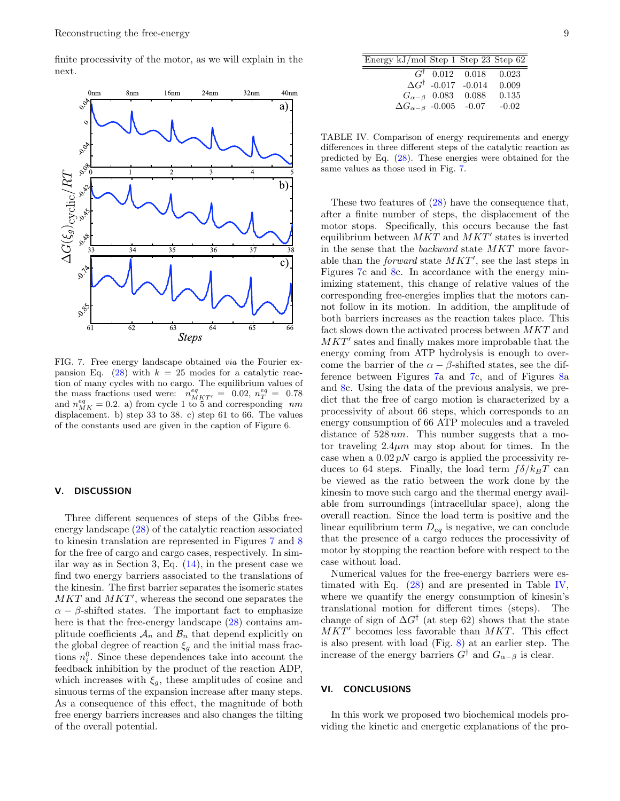finite processivity of the motor, as we will explain in the next.



<span id="page-8-0"></span>FIG. 7. Free energy landscape obtained via the Fourier expansion Eq.  $(28)$  with  $k = 25$  modes for a catalytic reaction of many cycles with no cargo. The equilibrium values of the mass fractions used were:  $n_{MKT}^{eq} = 0.02$ ,  $n_T^{eq} = 0.78$ and  $n_{MK}^{eq} = 0.2$ . a) from cycle 1 to 5 and corresponding  $nm$ displacement. b) step 33 to 38. c) step 61 to 66. The values of the constants used are given in the caption of Figure 6.

# V. DISCUSSION

Three different sequences of steps of the Gibbs freeenergy landscape [\(28\)](#page-7-0) of the catalytic reaction associated to kinesin translation are represented in Figures [7](#page-8-0) and [8](#page-9-1) for the free of cargo and cargo cases, respectively. In similar way as in Section 3, Eq. [\(14\)](#page-4-1), in the present case we find two energy barriers associated to the translations of the kinesin. The first barrier separates the isomeric states  $MKT$  and  $MKT'$ , whereas the second one separates the  $\alpha - \beta$ -shifted states. The important fact to emphasize here is that the free-energy landscape  $(28)$  contains amplitude coefficients  $A_n$  and  $B_n$  that depend explicitly on the global degree of reaction  $\xi_g$  and the initial mass fractions  $n_i^0$ . Since these dependences take into account the feedback inhibition by the product of the reaction ADP, which increases with  $\xi_g$ , these amplitudes of cosine and sinuous terms of the expansion increase after many steps. As a consequence of this effect, the magnitude of both free energy barriers increases and also changes the tilting of the overall potential.

| Energy kJ/mol Step 1 Step 23 Step 62 |                                              |       |
|--------------------------------------|----------------------------------------------|-------|
|                                      | $G^{\dagger}$ 0.012 0.018 0.023              |       |
|                                      | $\Delta G^{\dagger}$ -0.017 -0.014 0.009     |       |
|                                      | $G_{\alpha-\beta}$ 0.083 0.088               | 0.135 |
|                                      | $\Delta G_{\alpha-\beta}$ -0.005 -0.07 -0.02 |       |

<span id="page-8-1"></span>TABLE IV. Comparison of energy requirements and energy differences in three different steps of the catalytic reaction as predicted by Eq. [\(28\)](#page-7-0). These energies were obtained for the same values as those used in Fig. [7.](#page-8-0)

These two features of [\(28\)](#page-7-0) have the consequence that, after a finite number of steps, the displacement of the motor stops. Specifically, this occurs because the fast equilibrium between  $MKT$  and  $MKT'$  states is inverted in the sense that the backward state MKT more favorable than the *forward* state  $MKT'$ , see the last steps in Figures [7c](#page-8-0) and [8c](#page-9-1). In accordance with the energy minimizing statement, this change of relative values of the corresponding free-energies implies that the motors cannot follow in its motion. In addition, the amplitude of both barriers increases as the reaction takes place. This fact slows down the activated process between MKT and  $MKT'$  sates and finally makes more improbable that the energy coming from ATP hydrolysis is enough to overcome the barrier of the  $\alpha - \beta$ -shifted states, see the difference between Figures [7a](#page-8-0) and [7c](#page-8-0), and of Figures [8a](#page-9-1) and [8c](#page-9-1). Using the data of the previous analysis, we predict that the free of cargo motion is characterized by a processivity of about 66 steps, which corresponds to an energy consumption of 66 ATP molecules and a traveled distance of  $528 \, nm$ . This number suggests that a motor traveling  $2.4\mu m$  may stop about for times. In the case when a  $0.02 pN$  cargo is applied the processivity reduces to 64 steps. Finally, the load term  $f\delta/k_BT$  can be viewed as the ratio between the work done by the kinesin to move such cargo and the thermal energy available from surroundings (intracellular space), along the overall reaction. Since the load term is positive and the linear equilibrium term  $D_{eq}$  is negative, we can conclude that the presence of a cargo reduces the processivity of motor by stopping the reaction before with respect to the case without load.

Numerical values for the free-energy barriers were estimated with Eq.  $(28)$  and are presented in Table [IV,](#page-8-1) where we quantify the energy consumption of kinesin's translational motion for different times (steps). The change of sign of  $\Delta G^{\dagger}$  (at step 62) shows that the state  $MKT'$  becomes less favorable than  $MKT$ . This effect is also present with load (Fig. [8\)](#page-9-1) at an earlier step. The increase of the energy barriers  $G^{\dagger}$  and  $G_{\alpha-\beta}$  is clear.

#### VI. CONCLUSIONS

In this work we proposed two biochemical models providing the kinetic and energetic explanations of the pro-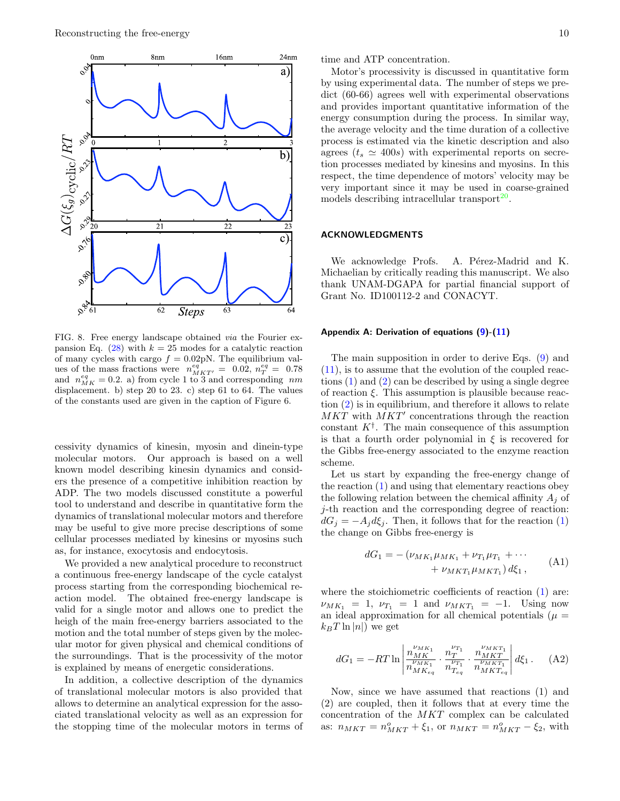

<span id="page-9-1"></span>FIG. 8. Free energy landscape obtained via the Fourier expansion Eq.  $(28)$  with  $k = 25$  modes for a catalytic reaction of many cycles with cargo  $f = 0.02$ pN. The equilibrium values of the mass fractions were  $n_{MKT}^{eq} = 0.02, n_T^{eq} = 0.78$ and  $n_{MK}^{eq} = 0.2$ . a) from cycle 1 to 3 and corresponding nm displacement. b) step 20 to 23. c) step 61 to 64. The values of the constants used are given in the caption of Figure 6.

cessivity dynamics of kinesin, myosin and dinein-type molecular motors. Our approach is based on a well known model describing kinesin dynamics and considers the presence of a competitive inhibition reaction by ADP. The two models discussed constitute a powerful tool to understand and describe in quantitative form the dynamics of translational molecular motors and therefore may be useful to give more precise descriptions of some cellular processes mediated by kinesins or myosins such as, for instance, exocytosis and endocytosis.

We provided a new analytical procedure to reconstruct a continuous free-energy landscape of the cycle catalyst process starting from the corresponding biochemical reaction model. The obtained free-energy landscape is valid for a single motor and allows one to predict the heigh of the main free-energy barriers associated to the motion and the total number of steps given by the molecular motor for given physical and chemical conditions of the surroundings. That is the processivity of the motor is explained by means of energetic considerations.

In addition, a collective description of the dynamics of translational molecular motors is also provided that allows to determine an analytical expression for the associated translational velocity as well as an expression for the stopping time of the molecular motors in terms of

time and ATP concentration.

Motor's processivity is discussed in quantitative form by using experimental data. The number of steps we predict (60-66) agrees well with experimental observations and provides important quantitative information of the energy consumption during the process. In similar way, the average velocity and the time duration of a collective process is estimated via the kinetic description and also agrees  $(t_s \simeq 400s)$  with experimental reports on secretion processes mediated by kinesins and myosins. In this respect, the time dependence of motors' velocity may be very important since it may be used in coarse-grained models describing intracellular transport<sup>[20](#page-11-15)</sup>.

# ACKNOWLEDGMENTS

We acknowledge Profs. A. Pérez-Madrid and K. Michaelian by critically reading this manuscript. We also thank UNAM-DGAPA for partial financial support of Grant No. ID100112-2 and CONACYT.

# <span id="page-9-0"></span>Appendix A: Derivation of equations [\(9\)](#page-2-0)-[\(11\)](#page-3-4)

The main supposition in order to derive Eqs. [\(9\)](#page-2-0) and [\(11\)](#page-3-4), is to assume that the evolution of the coupled reactions  $(1)$  and  $(2)$  can be described by using a single degree of reaction  $\xi$ . This assumption is plausible because reaction [\(2\)](#page-1-1) is in equilibrium, and therefore it allows to relate  $MKT$  with  $MKT'$  concentrations through the reaction constant  $K^{\dagger}$ . The main consequence of this assumption is that a fourth order polynomial in  $\xi$  is recovered for the Gibbs free-energy associated to the enzyme reaction scheme.

Let us start by expanding the free-energy change of the reaction  $(1)$  and using that elementary reactions obey the following relation between the chemical affinity  $A_i$  of j-th reaction and the corresponding degree of reaction:  $dG_j = -A_j d\xi_j$ . Then, it follows that for the reaction [\(1\)](#page-1-3) the change on Gibbs free-energy is

$$
dG_1 = -(\nu_{MK_1}\mu_{MK_1} + \nu_{T_1}\mu_{T_1} + \cdots + \nu_{MKT_1}\mu_{MKT_1}) d\xi_1,
$$
 (A1)

where the stoichiometric coefficients of reaction  $(1)$  are:  $\nu_{MK_1} = 1, \nu_{T_1} = 1$  and  $\nu_{MKT_1} = -1$ . Using now an ideal approximation for all chemical potentials ( $\mu =$  $k_BT \ln |n|$  we get

$$
dG_1 = -RT \ln \left| \frac{n_{MK_1}^{\nu_{MK_1}}}{n_{MK_{eq}}^{\nu_{MK_1}}} \cdot \frac{n_T^{\nu_{T_1}}}{n_{T_{eq}}^{\nu_{T_1}}} \cdot \frac{n_{MKT}^{\nu_{MKT_1}}}{n_{MKT_{eq}}^{\nu_{MKT_2}}} \right| d\xi_1.
$$
 (A2)

Now, since we have assumed that reactions (1) and (2) are coupled, then it follows that at every time the concentration of the MKT complex can be calculated as:  $n_{MKT} = n_{MKT}^o + \xi_1$ , or  $n_{MKT} = n_{MKT}^o - \xi_2$ , with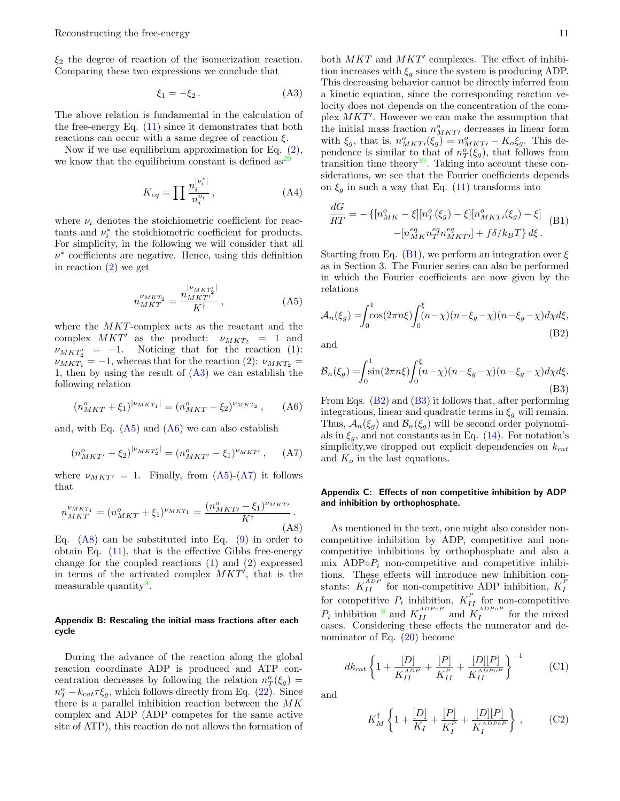$\xi_2$  the degree of reaction of the isomerization reaction. Comparing these two expressions we conclude that

<span id="page-10-1"></span>
$$
\xi_1 = -\xi_2. \tag{A3}
$$

The above relation is fundamental in the calculation of the free-energy Eq.  $(11)$  since it demonstrates that both reactions can occur with a same degree of reaction  $\xi$ .

Now if we use equilibrium approximation for Eq.  $(2)$ , we know that the equilibrium constant is defined  $as^2$ 

$$
K_{eq} = \prod \frac{n_i^{|\nu_i^*|}}{n_i^{\nu_i}},
$$
\n(A4)

where  $\nu_i$  denotes the stoichiometric coefficient for reactants and  $\nu_i^*$  the stoichiometric coefficient for products. For simplicity, in the following we will consider that all  $\nu^*$  coefficients are negative. Hence, using this definition in reaction [\(2\)](#page-1-1) we get

<span id="page-10-2"></span>
$$
n_{MKT}^{\nu_{MKT2}} = \frac{n_{MKT_2}^{\nu_{MKT_2}}}{K^{\dagger}}, \tag{A5}
$$

where the MKT-complex acts as the reactant and the complex  $MKT'$  as the product:  $\nu_{MKT_2} = 1$  and  $\nu_{MKT'_2} = -1.$  Noticing that for the reaction (1):  $\nu_{MKT_1} = -1$ , whereas that for the reaction (2):  $\nu_{MKT_2} =$ 1, then by using the result of  $(A3)$  we can establish the following relation

<span id="page-10-3"></span>
$$
(n_{MKT}^o + \xi_1)^{|\nu_{MKT1}|} = (n_{MKT}^o - \xi_2)^{\nu_{MKT2}}, \quad (A6)
$$

and, with Eq.  $(A5)$  and  $(A6)$  we can also establish

<span id="page-10-4"></span>
$$
\left(n_{MKT'}^o + \xi_2\right)^{|\nu_{MKT_2'}|} = \left(n_{MKT'}^o - \xi_1\right)^{\nu_{MKT'}}\,,\qquad\text{(A7)}
$$

where  $\nu_{MKT'} = 1$ . Finally, from  $(A5)-(A7)$  $(A5)-(A7)$  $(A5)-(A7)$  it follows that

<span id="page-10-0"></span>
$$
n_{MKT}^{\nu_{MKT}} = (n_{MKT}^o + \xi_1)^{\nu_{MKT_1}} = \frac{(n_{MKT}^o - \xi_1)^{\nu_{MKT_1}}}{K^{\dagger}}.
$$
\n(A8)

Eq.  $(A8)$  can be substituted into Eq.  $(9)$  in order to obtain Eq.  $(11)$ , that is the effective Gibbs free-energy change for the coupled reactions (1) and (2) expressed in terms of the activated complex  $MKT'$ , that is the measurable quantity<sup>[9](#page-11-9)</sup>.

## Appendix B: Rescaling the initial mass fractions after each cycle

During the advance of the reaction along the global reaction coordinate ADP is produced and ATP concentration decreases by following the relation  $n_T^o(\xi_g)$  =  $n_T^o - k_{cat} \tau \xi_g$ , which follows directly from Eq. [\(22\)](#page-6-3). Since there is a parallel inhibition reaction between the  $MK$ complex and ADP (ADP competes for the same active site of ATP), this reaction do not allows the formation of

both  $MKT$  and  $MKT'$  complexes. The effect of inhibition increases with  $\xi_g$  since the system is producing ADP. This decreasing behavior cannot be directly inferred from a kinetic equation, since the corresponding reaction velocity does not depends on the concentration of the complex  $MKT'$ . However we can make the assumption that the initial mass fraction  $n_{MKT}^o$ , decreases in linear form with  $\xi_g$ , that is,  $n^o_{MKT}(\xi_g) = n^o_{MKT} - K_o \xi_g$ . This dependence is similar to that of  $n_T^o(\xi_g)$ , that follows from transition time theory<sup>[39](#page-11-35)</sup>. Taking into account these considerations, we see that the Fourier coefficients depends on  $\xi_g$  in such a way that Eq. [\(11\)](#page-3-4) transforms into

<span id="page-10-5"></span>
$$
\frac{dG}{RT} = -\{ [n_{MK}^o - \xi][n_T^o(\xi_g) - \xi][n_{MKT}^o(\xi_g) - \xi] \right]
$$
  
- 
$$
[n_{MK}^{eq}n_T^{eq}n_{MKT}^{eq}] + f\delta/k_BT\} d\xi.
$$
 (B1)

Starting from Eq. [\(B1\)](#page-10-5), we perform an integration over  $\xi$ as in Section 3. The Fourier series can also be performed in which the Fourier coefficients are now given by the relations

<span id="page-10-6"></span>
$$
\mathcal{A}_n(\xi_g) = \int_0^1 \cos(2\pi n\xi) \int_0^{\xi} (n-\chi)(n-\xi_g-\chi)(n-\xi_g-\chi) d\chi d\xi,
$$
\n(B2)

and

<span id="page-10-7"></span>
$$
\mathcal{B}_n(\xi_g) = \int_0^1 \sin(2\pi n\xi) \int_0^\xi (n-\chi)(n-\xi_g-\chi)(n-\xi_g-\chi) d\chi d\xi.
$$
\n(B3)

From Eqs. [\(B2\)](#page-10-6) and [\(B3\)](#page-10-7) it follows that, after performing integrations, linear and quadratic terms in  $\xi_q$  will remain. Thus,  $A_n(\xi_g)$  and  $\mathcal{B}_n(\xi_g)$  will be second order polynomials in  $\xi_q$ , and not constants as in Eq. [\(14\)](#page-4-1). For notation's simplicity, we dropped out explicit dependencies on  $k_{cat}$ and  $K_o$  in the last equations.

#### Appendix C: Effects of non competitive inhibition by ADP and inhibition by orthophosphate.

As mentioned in the text, one might also consider noncompetitive inhibition by ADP, competitive and noncompetitive inhibitions by orthophosphate and also a mix ADP◦ $P_i$  non-competitive and competitive inhibitions. These effects will introduce new inhibition constants:  $K_{II}^{ADP}$  $I_I^{ADP}$  for non-competitive ADP inhibition,  $K_I^P$ for competitive  $P_i$  inhibition,  $K_{II}^P$  for non-competitive  $P_i$  inhibition <sup>[9](#page-11-9)</sup> and  $K_I^{ADP \circ P}$  and  $K_I^{ADP \circ P}$  for the mixed cases. Considering these effects the numerator and denominator of Eq. [\(20\)](#page-5-3) become

$$
dk_{cat} \left\{ 1 + \frac{[D]}{K_{II}^{ADP}} + \frac{[P]}{K_{II}^{P}} + \frac{[D][P]}{K_{II}^{ADP \circ P}} \right\}^{-1}
$$
 (C1)

and

$$
K_M^{\dagger} \left\{ 1 + \frac{[D]}{K_I} + \frac{[P]}{K_I^P} + \frac{[D][P]}{K_I^{AD^{D \circ P}}} \right\},\tag{C2}
$$